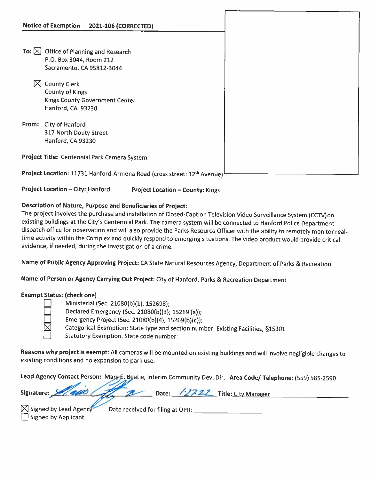| <b>Notice of Exemption</b>                                                          | 2021-106 (CORRECTED) |  |
|-------------------------------------------------------------------------------------|----------------------|--|
|                                                                                     |                      |  |
|                                                                                     |                      |  |
| To: $\boxtimes$<br>Office of Planning and Research                                  |                      |  |
| P.O. Box 3044, Room 212                                                             |                      |  |
| Sacramento, CA 95812-3044                                                           |                      |  |
|                                                                                     |                      |  |
| <b>County Clerk</b>                                                                 |                      |  |
| <b>County of Kings</b>                                                              |                      |  |
| Kings County Government Center                                                      |                      |  |
| Hanford, CA 93230                                                                   |                      |  |
|                                                                                     |                      |  |
| <b>City of Hanford</b><br>From:                                                     |                      |  |
| 317 North Douty Street                                                              |                      |  |
| Hanford, CA 93230                                                                   |                      |  |
|                                                                                     |                      |  |
| Project Title: Centennial Park Camera System                                        |                      |  |
|                                                                                     |                      |  |
| Project Location: 11731 Hanford-Armona Road (cross street: 12 <sup>th</sup> Avenue) |                      |  |

Project Location — City: Hanford Project Location — County: Kings

## Description of Nature, Purpose and Beneficiaries of Project:

The project involves the purchase and installation of Closed-Caption Television Video Surveillance System (CCTV)on existing buildings at the City's Centennial Park. The camera system will be connected to Hanford Police Department dispatch office for observation and will also provide the Parks Resource Officer with the ability to remotely monitor real time activity within the Complex and quickly respond to emerging situations. The video product would provide critical evidence, if needed, during the investigation of <sup>a</sup> crime.

Name of Public Agency Approving Project: CA State Natural Resources Agency, Department of Parks & Recreation

Name of Person or Agency Carrying Out Project: City of Hanford, Parks & Recreation Department

## Exempt Status: (check one)

Ministerial (Sec. 21080(b)(1); 152698);

Declared Emergency (Sec. 21080(b)(3); 15269 (a));

Emergency Project (Sec. 21080(b)(4); 15269(b)(c));

Categorical Exemption: State type and section number: Existing Facilities, §15301

Statutory Exemption. State code number:

Reasons why project is exempt: All cameras will be mounted on existing buildings and will involve negligible changes to existing conditions and no expansion to park use.

Lead Agency Contact Person: Mary E. Beatie, Interim Community Dev. Dir. Area Code/ Telephone: (559) 585-2590

|  |  |  | Signature: Main Comp Date: 12722 Title: City Manager |  |
|--|--|--|------------------------------------------------------|--|
|  |  |  |                                                      |  |

El Signed by Applicant

Signed by Lead Agency Date received for filing at OPR